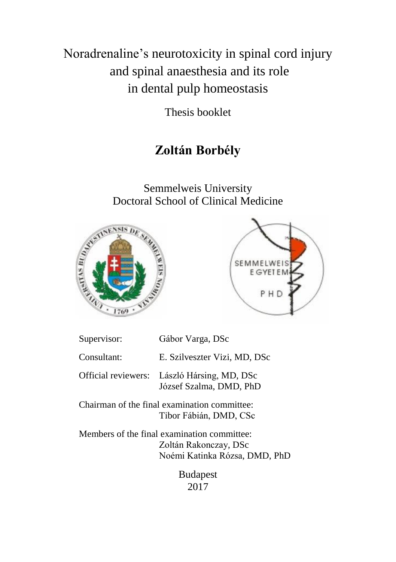Noradrenaline's neurotoxicity in spinal cord injury and spinal anaesthesia and its role in dental pulp homeostasis

Thesis booklet

# **Zoltán Borbély**

Semmelweis University Doctoral School of Clinical Medicine





| Supervisor:         | Gábor Varga, DSc                                                                                      |
|---------------------|-------------------------------------------------------------------------------------------------------|
| Consultant:         | E. Szilveszter Vizi, MD, DSc                                                                          |
| Official reviewers: | László Hársing, MD, DSc<br>József Szalma, DMD, PhD                                                    |
|                     | Chairman of the final examination committee:<br>Tibor Fábián, DMD, CSc                                |
|                     | Members of the final examination committee:<br>Zoltán Rakonczay, DSc<br>Noémi Katinka Rózsa, DMD, PhD |
|                     | <b>Budapest</b>                                                                                       |

2017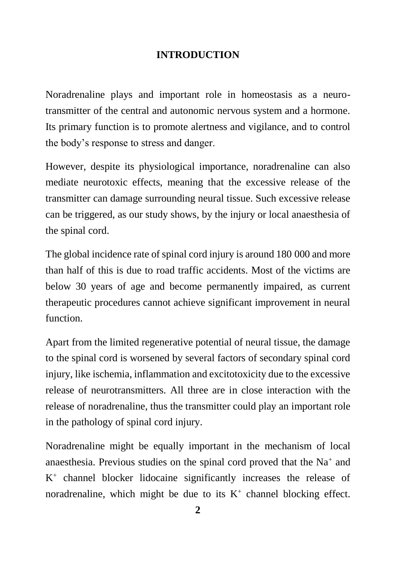### **INTRODUCTION**

Noradrenaline plays and important role in homeostasis as a neurotransmitter of the central and autonomic nervous system and a hormone. Its primary function is to promote alertness and vigilance, and to control the body's response to stress and danger.

However, despite its physiological importance, noradrenaline can also mediate neurotoxic effects, meaning that the excessive release of the transmitter can damage surrounding neural tissue. Such excessive release can be triggered, as our study shows, by the injury or local anaesthesia of the spinal cord.

The global incidence rate of spinal cord injury is around 180 000 and more than half of this is due to road traffic accidents. Most of the victims are below 30 years of age and become permanently impaired, as current therapeutic procedures cannot achieve significant improvement in neural function.

Apart from the limited regenerative potential of neural tissue, the damage to the spinal cord is worsened by several factors of secondary spinal cord injury, like ischemia, inflammation and excitotoxicity due to the excessive release of neurotransmitters. All three are in close interaction with the release of noradrenaline, thus the transmitter could play an important role in the pathology of spinal cord injury.

Noradrenaline might be equally important in the mechanism of local anaesthesia. Previous studies on the spinal cord proved that the Na<sup>+</sup> and K<sup>+</sup> channel blocker lidocaine significantly increases the release of noradrenaline, which might be due to its  $K^+$  channel blocking effect.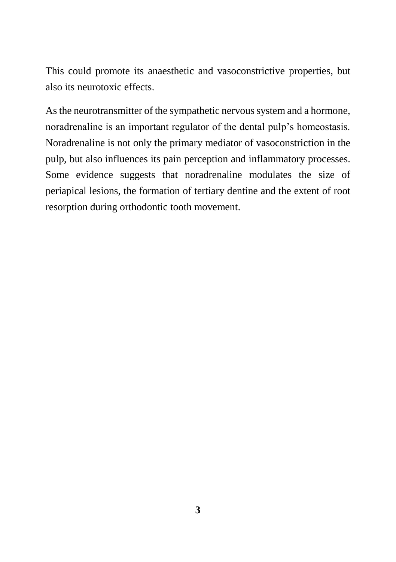This could promote its anaesthetic and vasoconstrictive properties, but also its neurotoxic effects.

As the neurotransmitter of the sympathetic nervous system and a hormone, noradrenaline is an important regulator of the dental pulp's homeostasis. Noradrenaline is not only the primary mediator of vasoconstriction in the pulp, but also influences its pain perception and inflammatory processes. Some evidence suggests that noradrenaline modulates the size of periapical lesions, the formation of tertiary dentine and the extent of root resorption during orthodontic tooth movement.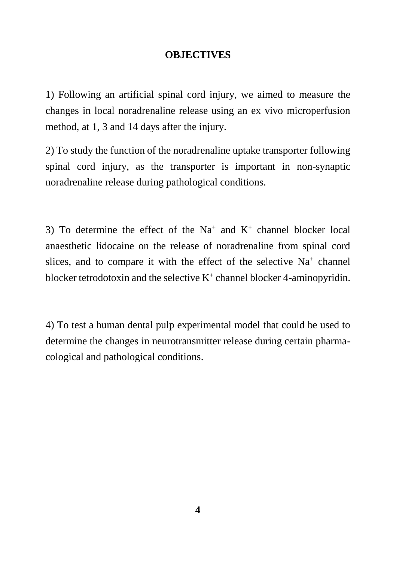#### **OBJECTIVES**

1) Following an artificial spinal cord injury, we aimed to measure the changes in local noradrenaline release using an ex vivo microperfusion method, at 1, 3 and 14 days after the injury.

2) To study the function of the noradrenaline uptake transporter following spinal cord injury, as the transporter is important in non-synaptic noradrenaline release during pathological conditions.

3) To determine the effect of the  $Na^+$  and  $K^+$  channel blocker local anaesthetic lidocaine on the release of noradrenaline from spinal cord slices, and to compare it with the effect of the selective  $Na<sup>+</sup>$  channel blocker tetrodotoxin and the selective  $K^+$  channel blocker 4-aminopyridin.

4) To test a human dental pulp experimental model that could be used to determine the changes in neurotransmitter release during certain pharmacological and pathological conditions.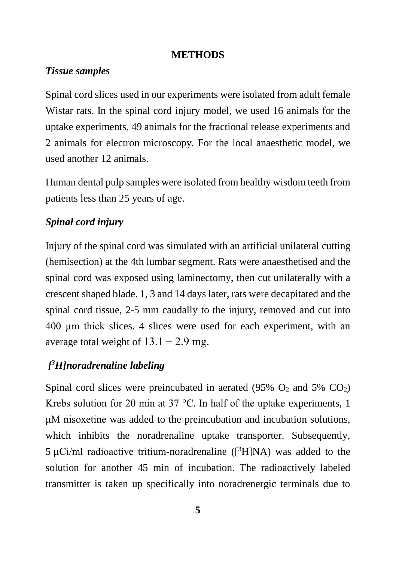#### **METHODS**

### *Tissue samples*

Spinal cord slices used in our experiments were isolated from adult female Wistar rats. In the spinal cord injury model, we used 16 animals for the uptake experiments, 49 animals for the fractional release experiments and 2 animals for electron microscopy. For the local anaesthetic model, we used another 12 animals.

Human dental pulp samples were isolated from healthy wisdom teeth from patients less than 25 years of age.

### *Spinal cord injury*

Injury of the spinal cord was simulated with an artificial unilateral cutting (hemisection) at the 4th lumbar segment. Rats were anaesthetised and the spinal cord was exposed using laminectomy, then cut unilaterally with a crescent shaped blade. 1, 3 and 14 days later, rats were decapitated and the spinal cord tissue, 2-5 mm caudally to the injury, removed and cut into 400 µm thick slices. 4 slices were used for each experiment, with an average total weight of  $13.1 \pm 2.9$  mg.

# *[ <sup>3</sup>H]noradrenaline labeling*

Spinal cord slices were preincubated in aerated  $(95\% \text{ O}_2 \text{ and } 5\% \text{ CO}_2)$ Krebs solution for 20 min at 37  $^{\circ}$ C. In half of the uptake experiments, 1 μM nisoxetine was added to the preincubation and incubation solutions, which inhibits the noradrenaline uptake transporter. Subsequently,  $5 \mu$ Ci/ml radioactive tritium-noradrenaline ( $[3H]NA$ ) was added to the solution for another 45 min of incubation. The radioactively labeled transmitter is taken up specifically into noradrenergic terminals due to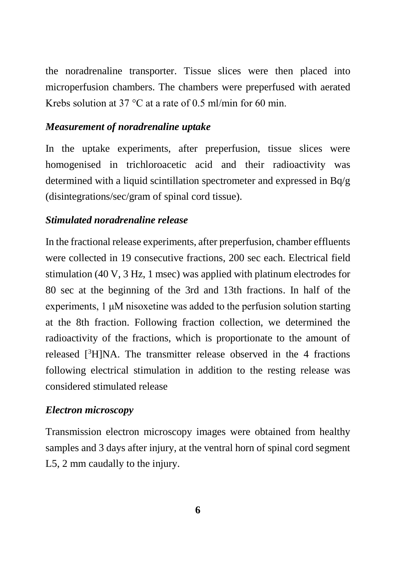the noradrenaline transporter. Tissue slices were then placed into microperfusion chambers. The chambers were preperfused with aerated Krebs solution at 37 °C at a rate of 0.5 ml/min for 60 min.

# *Measurement of noradrenaline uptake*

In the uptake experiments, after preperfusion, tissue slices were homogenised in trichloroacetic acid and their radioactivity was determined with a liquid scintillation spectrometer and expressed in Bq/g (disintegrations/sec/gram of spinal cord tissue).

# *Stimulated noradrenaline release*

In the fractional release experiments, after preperfusion, chamber effluents were collected in 19 consecutive fractions, 200 sec each. Electrical field stimulation (40 V, 3 Hz, 1 msec) was applied with platinum electrodes for 80 sec at the beginning of the 3rd and 13th fractions. In half of the experiments, 1 μM nisoxetine was added to the perfusion solution starting at the 8th fraction. Following fraction collection, we determined the radioactivity of the fractions, which is proportionate to the amount of released  $[3H]NA$ . The transmitter release observed in the 4 fractions following electrical stimulation in addition to the resting release was considered stimulated release

# *Electron microscopy*

Transmission electron microscopy images were obtained from healthy samples and 3 days after injury, at the ventral horn of spinal cord segment L5, 2 mm caudally to the injury.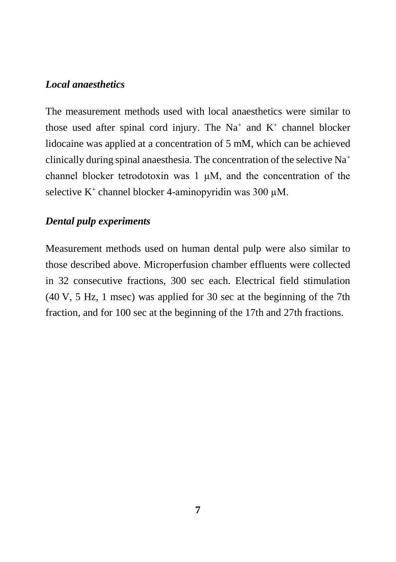#### *Local anaesthetics*

The measurement methods used with local anaesthetics were similar to those used after spinal cord injury. The Na<sup>+</sup> and K<sup>+</sup> channel blocker lidocaine was applied at a concentration of 5 mM, which can be achieved clinically during spinal anaesthesia. The concentration of the selective Na<sup>+</sup> channel blocker tetrodotoxin was 1 µM, and the concentration of the selective K<sup>+</sup> channel blocker 4-aminopyridin was 300  $\mu$ M.

### *Dental pulp experiments*

Measurement methods used on human dental pulp were also similar to those described above. Microperfusion chamber effluents were collected in 32 consecutive fractions, 300 sec each. Electrical field stimulation (40 V, 5 Hz, 1 msec) was applied for 30 sec at the beginning of the 7th fraction, and for 100 sec at the beginning of the 17th and 27th fractions.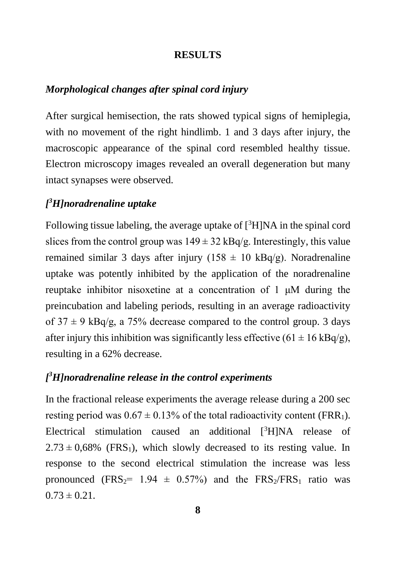#### **RESULTS**

#### *Morphological changes after spinal cord injury*

After surgical hemisection, the rats showed typical signs of hemiplegia, with no movement of the right hindlimb. 1 and 3 days after injury, the macroscopic appearance of the spinal cord resembled healthy tissue. Electron microscopy images revealed an overall degeneration but many intact synapses were observed.

# *[ <sup>3</sup>H]noradrenaline uptake*

Following tissue labeling, the average uptake of <sup>[3</sup>H]NA in the spinal cord slices from the control group was  $149 \pm 32$  kBq/g. Interestingly, this value remained similar 3 days after injury ( $158 \pm 10 \text{ kBq/g}$ ). Noradrenaline uptake was potently inhibited by the application of the noradrenaline reuptake inhibitor nisoxetine at a concentration of 1 μM during the preincubation and labeling periods, resulting in an average radioactivity of  $37 \pm 9$  kBq/g, a 75% decrease compared to the control group. 3 days after injury this inhibition was significantly less effective  $(61 \pm 16 \text{ kBq/g})$ , resulting in a 62% decrease.

## *[ <sup>3</sup>H]noradrenaline release in the control experiments*

In the fractional release experiments the average release during a 200 sec resting period was  $0.67 \pm 0.13\%$  of the total radioactivity content (FRR<sub>1</sub>). Electrical stimulation caused an additional [<sup>3</sup>H]NA release of  $2.73 \pm 0.68\%$  (FRS<sub>1</sub>), which slowly decreased to its resting value. In response to the second electrical stimulation the increase was less pronounced (FRS<sub>2</sub>= 1.94  $\pm$  0.57%) and the FRS<sub>2</sub>/FRS<sub>1</sub> ratio was  $0.73 \pm 0.21$ .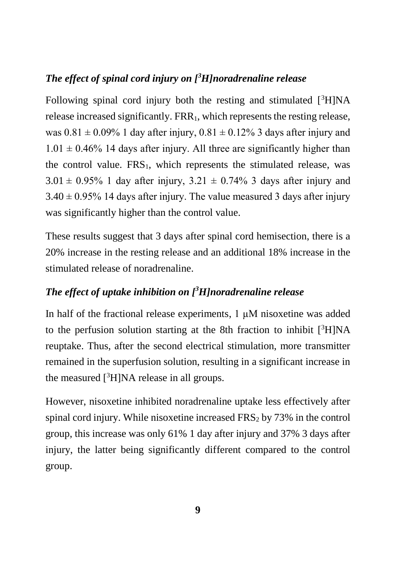# *The effect of spinal cord injury on [<sup>3</sup>H]noradrenaline release*

Following spinal cord injury both the resting and stimulated  $[3H]NA$ release increased significantly. FRR<sub>1</sub>, which represents the resting release, was  $0.81 \pm 0.09\%$  1 day after injury,  $0.81 \pm 0.12\%$  3 days after injury and  $1.01 \pm 0.46\%$  14 days after injury. All three are significantly higher than the control value.  $FRS_1$ , which represents the stimulated release, was  $3.01 \pm 0.95\%$  1 day after injury,  $3.21 \pm 0.74\%$  3 days after injury and  $3.40 \pm 0.95\%$  14 days after injury. The value measured 3 days after injury was significantly higher than the control value.

These results suggest that 3 days after spinal cord hemisection, there is a 20% increase in the resting release and an additional 18% increase in the stimulated release of noradrenaline.

# *The effect of uptake inhibition on [ <sup>3</sup>H]noradrenaline release*

In half of the fractional release experiments, 1  $\mu$ M nisoxetine was added to the perfusion solution starting at the 8th fraction to inhibit  $[{}^{3}H]NA$ reuptake. Thus, after the second electrical stimulation, more transmitter remained in the superfusion solution, resulting in a significant increase in the measured  $[3H]NA$  release in all groups.

However, nisoxetine inhibited noradrenaline uptake less effectively after spinal cord injury. While nisoxetine increased  $FRS<sub>2</sub>$  by 73% in the control group, this increase was only 61% 1 day after injury and 37% 3 days after injury, the latter being significantly different compared to the control group.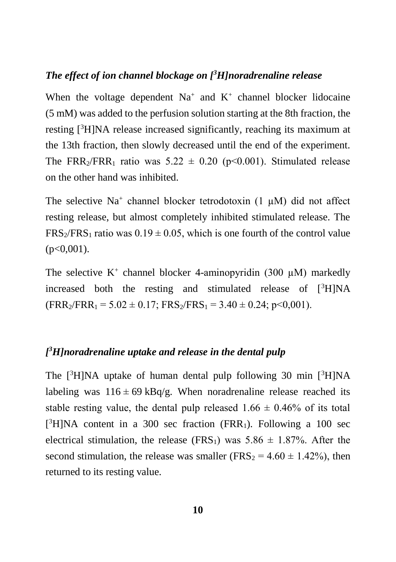### *The effect of ion channel blockage on [<sup>3</sup>H]noradrenaline release*

When the voltage dependent  $Na^+$  and  $K^+$  channel blocker lidocaine (5 mM) was added to the perfusion solution starting at the 8th fraction, the resting [<sup>3</sup>H]NA release increased significantly, reaching its maximum at the 13th fraction, then slowly decreased until the end of the experiment. The FRR<sub>2</sub>/FRR<sub>1</sub> ratio was  $5.22 \pm 0.20$  (p<0.001). Stimulated release on the other hand was inhibited.

The selective Na<sup>+</sup> channel blocker tetrodotoxin  $(1 \mu M)$  did not affect resting release, but almost completely inhibited stimulated release. The FRS<sub>2</sub>/FRS<sub>1</sub> ratio was  $0.19 \pm 0.05$ , which is one fourth of the control value  $(p<0,001)$ .

The selective  $K^+$  channel blocker 4-aminopyridin (300  $\mu$ M) markedly increased both the resting and stimulated release of  $[3H]NA$  $(FRR_2/FRR_1 = 5.02 \pm 0.17$ ;  $FRS_2/FRS_1 = 3.40 \pm 0.24$ ;  $p < 0.001$ ).

# *[ <sup>3</sup>H]noradrenaline uptake and release in the dental pulp*

The  $[3H]NA$  uptake of human dental pulp following 30 min  $[3H]NA$ labeling was  $116 \pm 69$  kBq/g. When noradrenaline release reached its stable resting value, the dental pulp released  $1.66 \pm 0.46\%$  of its total  $[$ <sup>3</sup>H]NA content in a 300 sec fraction (FRR<sub>1</sub>). Following a 100 sec electrical stimulation, the release (FRS<sub>1</sub>) was  $5.86 \pm 1.87\%$ . After the second stimulation, the release was smaller ( $FRS_2 = 4.60 \pm 1.42\%$ ), then returned to its resting value.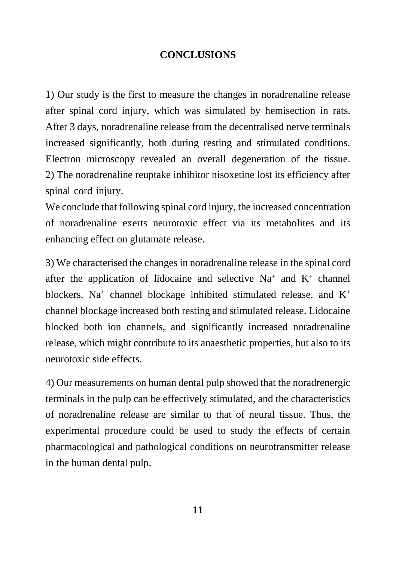### **CONCLUSIONS**

1) Our study is the first to measure the changes in noradrenaline release after spinal cord injury, which was simulated by hemisection in rats. After 3 days, noradrenaline release from the decentralised nerve terminals increased significantly, both during resting and stimulated conditions. Electron microscopy revealed an overall degeneration of the tissue. 2) The noradrenaline reuptake inhibitor nisoxetine lost its efficiency after spinal cord injury.

We conclude that following spinal cord injury, the increased concentration of noradrenaline exerts neurotoxic effect via its metabolites and its enhancing effect on glutamate release.

3) We characterised the changes in noradrenaline release in the spinal cord after the application of lidocaine and selective  $Na^+$  and  $K^+$  channel blockers. Na<sup>+</sup> channel blockage inhibited stimulated release, and  $K^+$ channel blockage increased both resting and stimulated release. Lidocaine blocked both ion channels, and significantly increased noradrenaline release, which might contribute to its anaesthetic properties, but also to its neurotoxic side effects.

4) Our measurements on human dental pulp showed that the noradrenergic terminals in the pulp can be effectively stimulated, and the characteristics of noradrenaline release are similar to that of neural tissue. Thus, the experimental procedure could be used to study the effects of certain pharmacological and pathological conditions on neurotransmitter release in the human dental pulp.